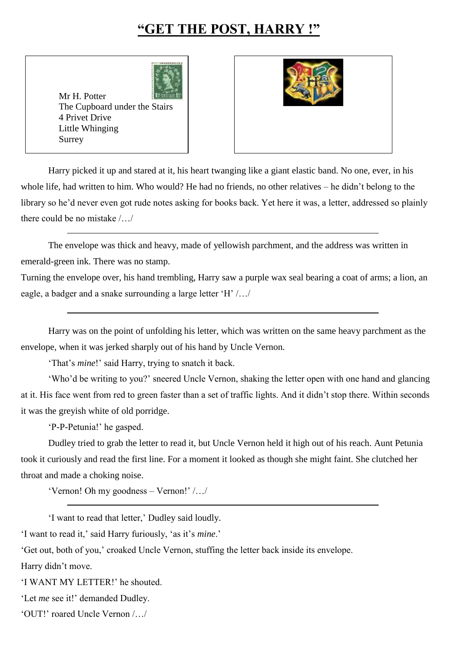## **"GET THE POST, HARRY !"**

Mr H. Potter The Cupboard under the Stairs 4 Privet Drive Little Whinging Surrey



Harry picked it up and stared at it, his heart twanging like a giant elastic band. No one, ever, in his whole life, had written to him. Who would? He had no friends, no other relatives – he didn't belong to the library so he'd never even got rude notes asking for books back. Yet here it was, a letter, addressed so plainly there could be no mistake /…/

The envelope was thick and heavy, made of yellowish parchment, and the address was written in emerald-green ink. There was no stamp.

Turning the envelope over, his hand trembling, Harry saw a purple wax seal bearing a coat of arms; a lion, an eagle, a badger and a snake surrounding a large letter 'H' /…/

Harry was on the point of unfolding his letter, which was written on the same heavy parchment as the envelope, when it was jerked sharply out of his hand by Uncle Vernon.

'That's *mine*!' said Harry, trying to snatch it back.

'Who'd be writing to you?' sneered Uncle Vernon, shaking the letter open with one hand and glancing at it. His face went from red to green faster than a set of traffic lights. And it didn't stop there. Within seconds it was the greyish white of old porridge.

'P-P-Petunia!' he gasped.

Dudley tried to grab the letter to read it, but Uncle Vernon held it high out of his reach. Aunt Petunia took it curiously and read the first line. For a moment it looked as though she might faint. She clutched her throat and made a choking noise.

'Vernon! Oh my goodness – Vernon!' /…/

'I want to read that letter,' Dudley said loudly.

'I want to read it,' said Harry furiously, 'as it's *mine*.'

'Get out, both of you,' croaked Uncle Vernon, stuffing the letter back inside its envelope.

Harry didn't move.

'I WANT MY LETTER!' he shouted.

'Let *me* see it!' demanded Dudley.

'OUT!' roared Uncle Vernon /…/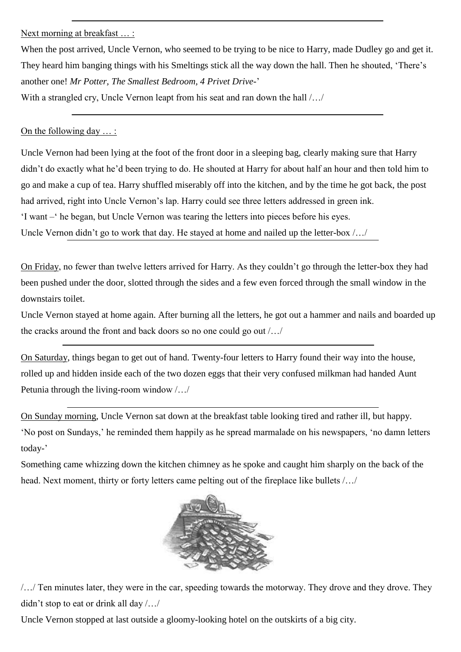Next morning at breakfast ...:

When the post arrived. Uncle Vernon, who seemed to be trying to be nice to Harry, made Dudley go and get it. They heard him banging things with his Smeltings stick all the way down the hall. Then he shouted, 'There's another one! *Mr Potter, The Smallest Bedroom, 4 Privet Drive*-'

With a strangled cry, Uncle Vernon leapt from his seat and ran down the hall  $/$ ...

On the following day … :

Uncle Vernon had been lying at the foot of the front door in a sleeping bag, clearly making sure that Harry didn't do exactly what he'd been trying to do. He shouted at Harry for about half an hour and then told him to go and make a cup of tea. Harry shuffled miserably off into the kitchen, and by the time he got back, the post had arrived, right into Uncle Vernon's lap. Harry could see three letters addressed in green ink. 'I want –' he began, but Uncle Vernon was tearing the letters into pieces before his eyes.

Uncle Vernon didn't go to work that day. He stayed at home and nailed up the letter-box /…/

On Friday, no fewer than twelve letters arrived for Harry. As they couldn't go through the letter-box they had been pushed under the door, slotted through the sides and a few even forced through the small window in the downstairs toilet.

Uncle Vernon stayed at home again. After burning all the letters, he got out a hammer and nails and boarded up the cracks around the front and back doors so no one could go out /…/

On Saturday, things began to get out of hand. Twenty-four letters to Harry found their way into the house, rolled up and hidden inside each of the two dozen eggs that their very confused milkman had handed Aunt Petunia through the living-room window /…/

On Sunday morning, Uncle Vernon sat down at the breakfast table looking tired and rather ill, but happy. 'No post on Sundays,' he reminded them happily as he spread marmalade on his newspapers, 'no damn letters today-'

Something came whizzing down the kitchen chimney as he spoke and caught him sharply on the back of the head. Next moment, thirty or forty letters came pelting out of the fireplace like bullets /…/



/…/ Ten minutes later, they were in the car, speeding towards the motorway. They drove and they drove. They didn't stop to eat or drink all day /…/

Uncle Vernon stopped at last outside a gloomy-looking hotel on the outskirts of a big city.